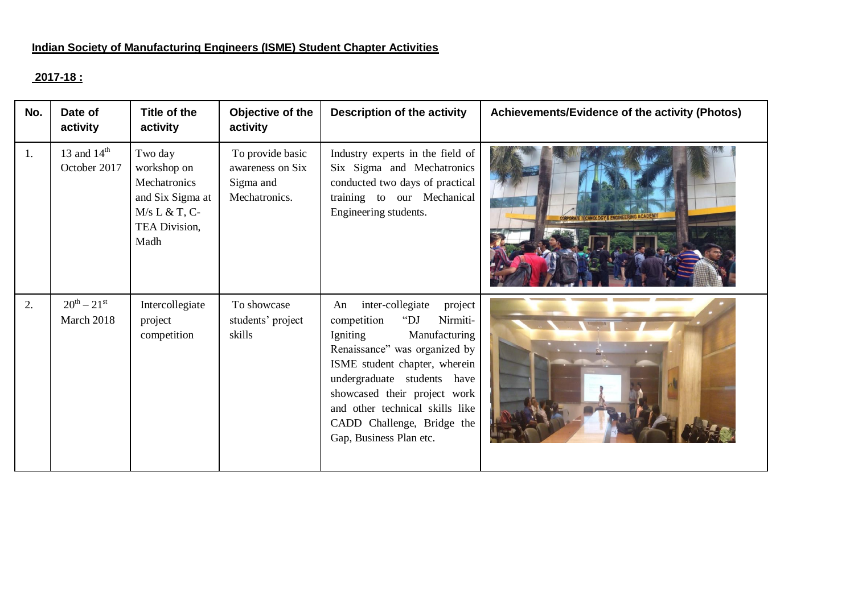#### **Indian Society of Manufacturing Engineers (ISME) Student Chapter Activities**

# **2017-18 :**

| No. | Date of<br>activity               | Title of the<br>activity                                                                               | Objective of the<br>activity                                       | <b>Description of the activity</b>                                                                                                                                                                                                                                                                                               | Achievements/Evidence of the activity (Photos) |
|-----|-----------------------------------|--------------------------------------------------------------------------------------------------------|--------------------------------------------------------------------|----------------------------------------------------------------------------------------------------------------------------------------------------------------------------------------------------------------------------------------------------------------------------------------------------------------------------------|------------------------------------------------|
| 1.  | 13 and $14th$<br>October 2017     | Two day<br>workshop on<br>Mechatronics<br>and Six Sigma at<br>$M/s L & T, C-$<br>TEA Division,<br>Madh | To provide basic<br>awareness on Six<br>Sigma and<br>Mechatronics. | Industry experts in the field of<br>Six Sigma and Mechatronics<br>conducted two days of practical<br>training to our Mechanical<br>Engineering students.                                                                                                                                                                         | <b>ORATE TECHNOLOGY &amp; ENGI</b>             |
| 2.  | $20^{th} - 21^{st}$<br>March 2018 | Intercollegiate<br>project<br>competition                                                              | To showcase<br>students' project<br>skills                         | inter-collegiate<br>project<br>An<br>Nirmiti-<br>competition<br>" $DJ$<br>Igniting<br>Manufacturing<br>Renaissance" was organized by<br>ISME student chapter, wherein<br>undergraduate students have<br>showcased their project work<br>and other technical skills like<br>CADD Challenge, Bridge the<br>Gap, Business Plan etc. |                                                |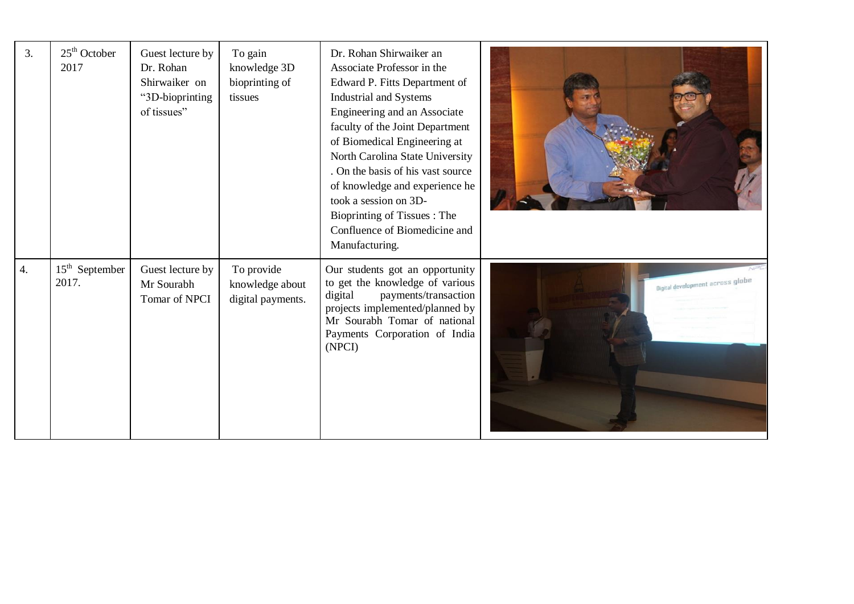| 3.               | $25th$ October<br>2017    | Guest lecture by<br>Dr. Rohan<br>Shirwaiker on<br>"3D-bioprinting<br>of tissues" | To gain<br>knowledge 3D<br>bioprinting of<br>tissues | Dr. Rohan Shirwaiker an<br>Associate Professor in the<br>Edward P. Fitts Department of<br>Industrial and Systems<br>Engineering and an Associate<br>faculty of the Joint Department<br>of Biomedical Engineering at<br>North Carolina State University<br>. On the basis of his vast source<br>of knowledge and experience he<br>took a session on 3D-<br>Bioprinting of Tissues: The<br>Confluence of Biomedicine and<br>Manufacturing. |                                  |
|------------------|---------------------------|----------------------------------------------------------------------------------|------------------------------------------------------|------------------------------------------------------------------------------------------------------------------------------------------------------------------------------------------------------------------------------------------------------------------------------------------------------------------------------------------------------------------------------------------------------------------------------------------|----------------------------------|
| $\overline{4}$ . | $15th$ September<br>2017. | Guest lecture by<br>Mr Sourabh<br>Tomar of NPCI                                  | To provide<br>knowledge about<br>digital payments.   | Our students got an opportunity<br>to get the knowledge of various<br>payments/transaction<br>digital<br>projects implemented/planned by<br>Mr Sourabh Tomar of national<br>Payments Corporation of India<br>(NPCI)                                                                                                                                                                                                                      | Digital development across globe |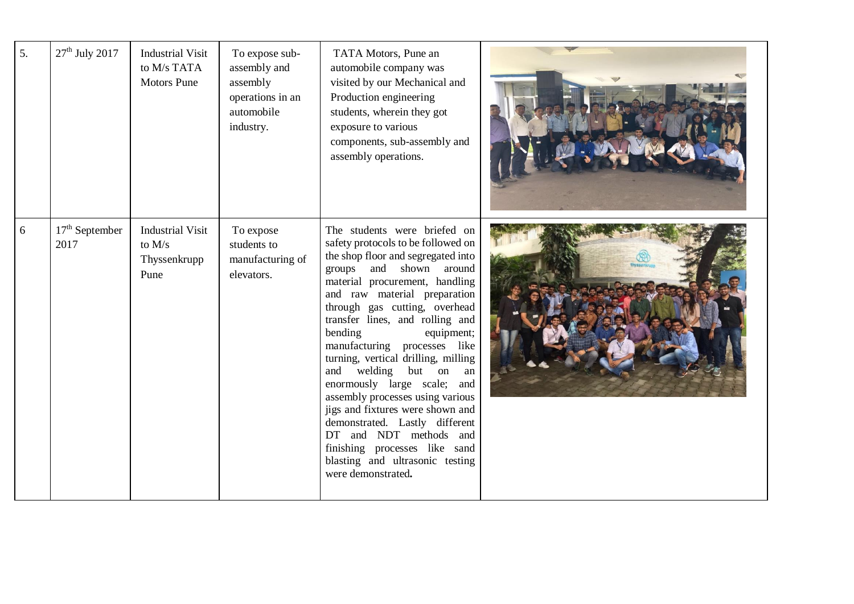| 5. | $27th$ July 2017         | <b>Industrial Visit</b><br>to M/s TATA<br><b>Motors Pune</b> | To expose sub-<br>assembly and<br>assembly<br>operations in an<br>automobile<br>industry. | TATA Motors, Pune an<br>automobile company was<br>visited by our Mechanical and<br>Production engineering<br>students, wherein they got<br>exposure to various<br>components, sub-assembly and<br>assembly operations.                                                                                                                                                                                                                                                                                                                                                                                                                                             |  |
|----|--------------------------|--------------------------------------------------------------|-------------------------------------------------------------------------------------------|--------------------------------------------------------------------------------------------------------------------------------------------------------------------------------------------------------------------------------------------------------------------------------------------------------------------------------------------------------------------------------------------------------------------------------------------------------------------------------------------------------------------------------------------------------------------------------------------------------------------------------------------------------------------|--|
| 6  | $17th$ September<br>2017 | <b>Industrial Visit</b><br>to $M/s$<br>Thyssenkrupp<br>Pune  | To expose<br>students to<br>manufacturing of<br>elevators.                                | The students were briefed on<br>safety protocols to be followed on<br>the shop floor and segregated into<br>and shown around<br>groups<br>material procurement, handling<br>and raw material preparation<br>through gas cutting, overhead<br>transfer lines, and rolling and<br>bending<br>equipment;<br>manufacturing processes like<br>turning, vertical drilling, milling<br>and welding but on an<br>enormously large scale; and<br>assembly processes using various<br>jigs and fixtures were shown and<br>demonstrated. Lastly different<br>DT and NDT methods and<br>finishing processes like sand<br>blasting and ultrasonic testing<br>were demonstrated. |  |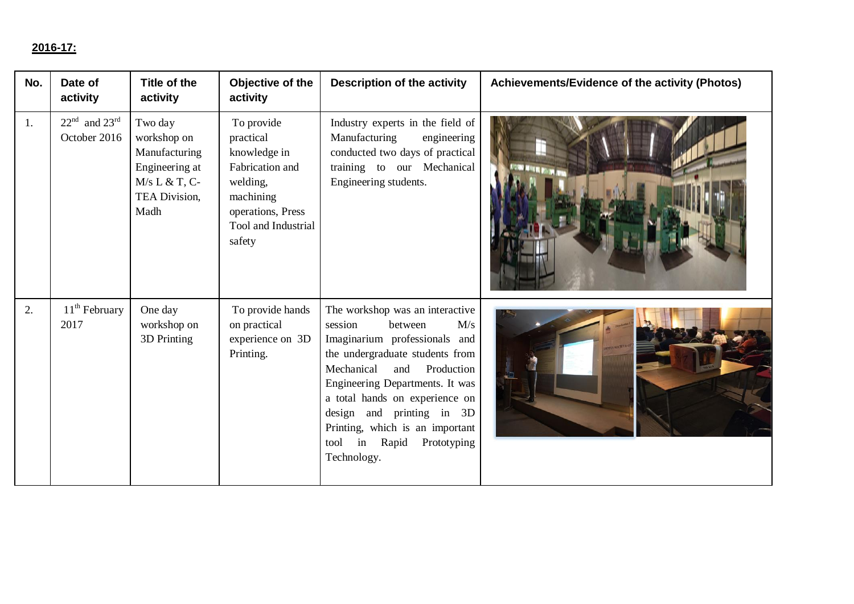## **2016-17:**

| No. | Date of<br>activity               | Title of the<br>activity                                                                              | Objective of the<br>activity                                                                                                              | <b>Description of the activity</b>                                                                                                                                                                                                                                                                                                                         | Achievements/Evidence of the activity (Photos) |
|-----|-----------------------------------|-------------------------------------------------------------------------------------------------------|-------------------------------------------------------------------------------------------------------------------------------------------|------------------------------------------------------------------------------------------------------------------------------------------------------------------------------------------------------------------------------------------------------------------------------------------------------------------------------------------------------------|------------------------------------------------|
| 1.  | $22nd$ and $23rd$<br>October 2016 | Two day<br>workshop on<br>Manufacturing<br>Engineering at<br>$M/s L & T, C-$<br>TEA Division,<br>Madh | To provide<br>practical<br>knowledge in<br>Fabrication and<br>welding,<br>machining<br>operations, Press<br>Tool and Industrial<br>safety | Industry experts in the field of<br>Manufacturing<br>engineering<br>conducted two days of practical<br>training to our Mechanical<br>Engineering students.                                                                                                                                                                                                 |                                                |
| 2.  | 11 <sup>th</sup> February<br>2017 | One day<br>workshop on<br>3D Printing                                                                 | To provide hands<br>on practical<br>experience on 3D<br>Printing.                                                                         | The workshop was an interactive<br>session<br>M/s<br>between<br>Imaginarium professionals and<br>the undergraduate students from<br>Mechanical<br>Production<br>and<br>Engineering Departments. It was<br>a total hands on experience on<br>design and printing in 3D<br>Printing, which is an important<br>in Rapid<br>Prototyping<br>tool<br>Technology. |                                                |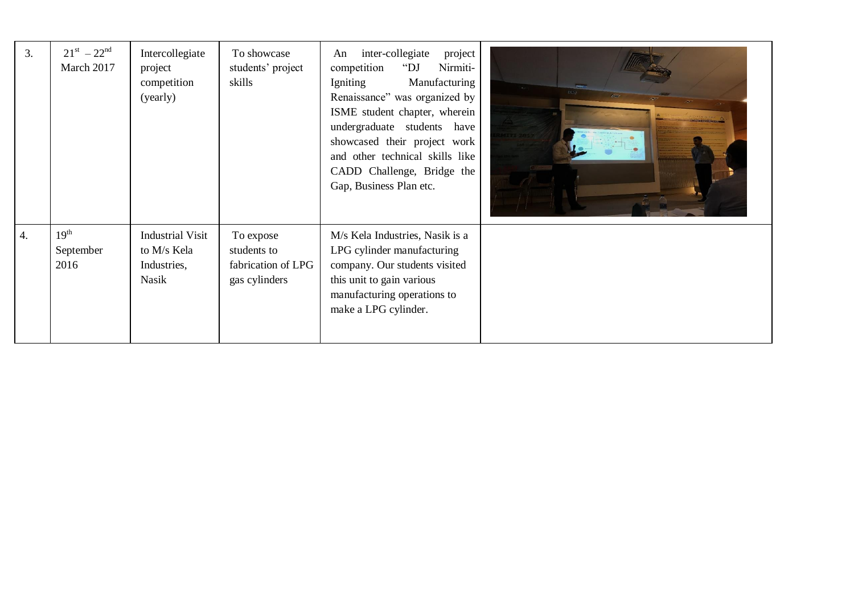| 3. | $21^{st} - 22^{nd}$<br>March 2017     | Intercollegiate<br>project<br>competition<br>(yearly)          | To showcase<br>students' project<br>skills                      | inter-collegiate<br>project<br>An<br>Nirmiti-<br>competition<br>" $DJ$<br>Igniting<br>Manufacturing<br>Renaissance" was organized by<br>ISME student chapter, wherein<br>undergraduate students have<br>showcased their project work<br>and other technical skills like<br>CADD Challenge, Bridge the<br>Gap, Business Plan etc. |  |
|----|---------------------------------------|----------------------------------------------------------------|-----------------------------------------------------------------|----------------------------------------------------------------------------------------------------------------------------------------------------------------------------------------------------------------------------------------------------------------------------------------------------------------------------------|--|
| 4. | 19 <sup>th</sup><br>September<br>2016 | <b>Industrial Visit</b><br>to M/s Kela<br>Industries,<br>Nasik | To expose<br>students to<br>fabrication of LPG<br>gas cylinders | M/s Kela Industries, Nasik is a<br>LPG cylinder manufacturing<br>company. Our students visited<br>this unit to gain various<br>manufacturing operations to<br>make a LPG cylinder.                                                                                                                                               |  |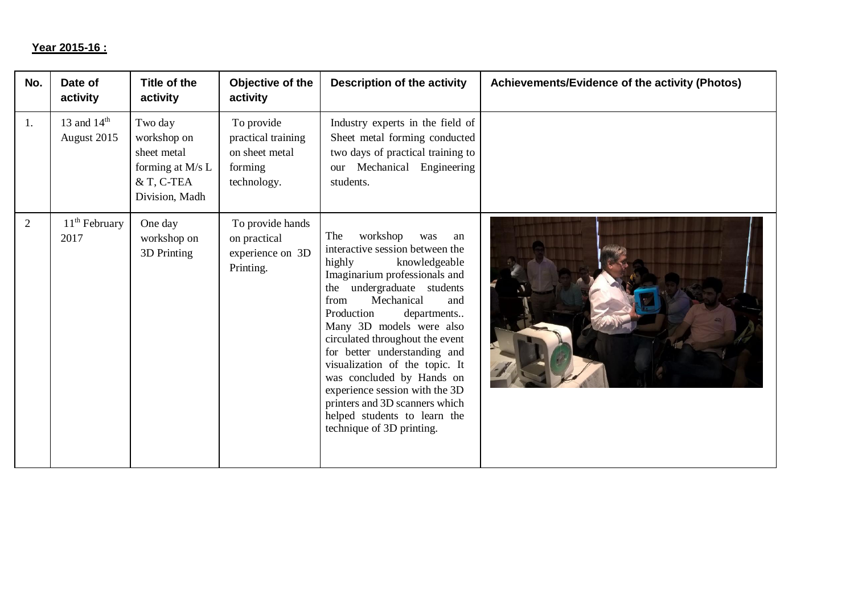## **Year 2015-16 :**

| No. | Date of<br>activity          | Title of the<br>activity                                                                  | Objective of the<br>activity                                                 | Description of the activity                                                                                                                                                                                                                                                                                                                                                                                                                                                                                        | Achievements/Evidence of the activity (Photos) |
|-----|------------------------------|-------------------------------------------------------------------------------------------|------------------------------------------------------------------------------|--------------------------------------------------------------------------------------------------------------------------------------------------------------------------------------------------------------------------------------------------------------------------------------------------------------------------------------------------------------------------------------------------------------------------------------------------------------------------------------------------------------------|------------------------------------------------|
| 1.  | 13 and $14th$<br>August 2015 | Two day<br>workshop on<br>sheet metal<br>forming at M/s L<br>& T, C-TEA<br>Division, Madh | To provide<br>practical training<br>on sheet metal<br>forming<br>technology. | Industry experts in the field of<br>Sheet metal forming conducted<br>two days of practical training to<br>Mechanical Engineering<br>our<br>students.                                                                                                                                                                                                                                                                                                                                                               |                                                |
| 2   | $11th$ February<br>2017      | One day<br>workshop on<br>3D Printing                                                     | To provide hands<br>on practical<br>experience on 3D<br>Printing.            | The<br>workshop<br>was<br>an<br>interactive session between the<br>highly<br>knowledgeable<br>Imaginarium professionals and<br>the undergraduate students<br>Mechanical<br>from<br>and<br>Production<br>departments<br>Many 3D models were also<br>circulated throughout the event<br>for better understanding and<br>visualization of the topic. It<br>was concluded by Hands on<br>experience session with the 3D<br>printers and 3D scanners which<br>helped students to learn the<br>technique of 3D printing. |                                                |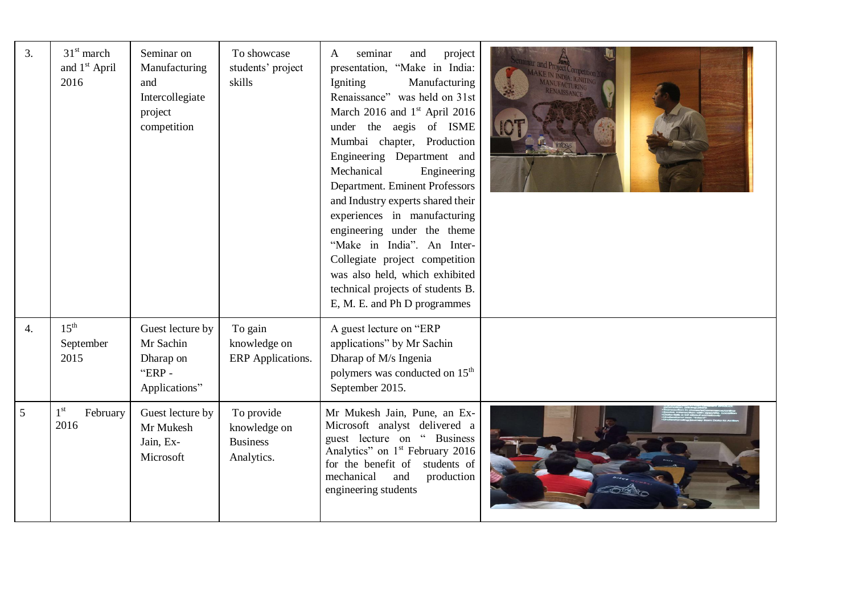| $\overline{3}$ . | $31st$ march<br>and 1 <sup>st</sup> April<br>2016 | Seminar on<br>Manufacturing<br>and<br>Intercollegiate<br>project<br>competition | To showcase<br>students' project<br>skills                  | seminar<br>project<br>and<br>A<br>presentation, "Make in India:<br>Manufacturing<br>Igniting<br>Renaissance" was held on 31st<br>March 2016 and $1st$ April 2016<br>under the aegis of ISME<br>Mumbai chapter, Production<br>Engineering Department and<br>Mechanical<br>Engineering<br>Department. Eminent Professors<br>and Industry experts shared their<br>experiences in manufacturing<br>engineering under the theme<br>"Make in India". An Inter-<br>Collegiate project competition<br>was also held, which exhibited<br>technical projects of students B.<br>E, M. E. and Ph D programmes |  |
|------------------|---------------------------------------------------|---------------------------------------------------------------------------------|-------------------------------------------------------------|---------------------------------------------------------------------------------------------------------------------------------------------------------------------------------------------------------------------------------------------------------------------------------------------------------------------------------------------------------------------------------------------------------------------------------------------------------------------------------------------------------------------------------------------------------------------------------------------------|--|
| 4.               | $15^{\text{th}}$<br>September<br>2015             | Guest lecture by<br>Mr Sachin<br>Dharap on<br>"ERP-<br>Applications"            | To gain<br>knowledge on<br>ERP Applications.                | A guest lecture on "ERP<br>applications" by Mr Sachin<br>Dharap of M/s Ingenia<br>polymers was conducted on 15 <sup>th</sup><br>September 2015.                                                                                                                                                                                                                                                                                                                                                                                                                                                   |  |
| 5                | 1 <sup>st</sup><br>February<br>2016               | Guest lecture by<br>Mr Mukesh<br>Jain, Ex-<br>Microsoft                         | To provide<br>knowledge on<br><b>Business</b><br>Analytics. | Mr Mukesh Jain, Pune, an Ex-<br>Microsoft analyst delivered a<br>guest lecture on " Business<br>Analytics" on 1 <sup>st</sup> February 2016<br>students of<br>for the benefit of<br>mechanical<br>and<br>production<br>engineering students                                                                                                                                                                                                                                                                                                                                                       |  |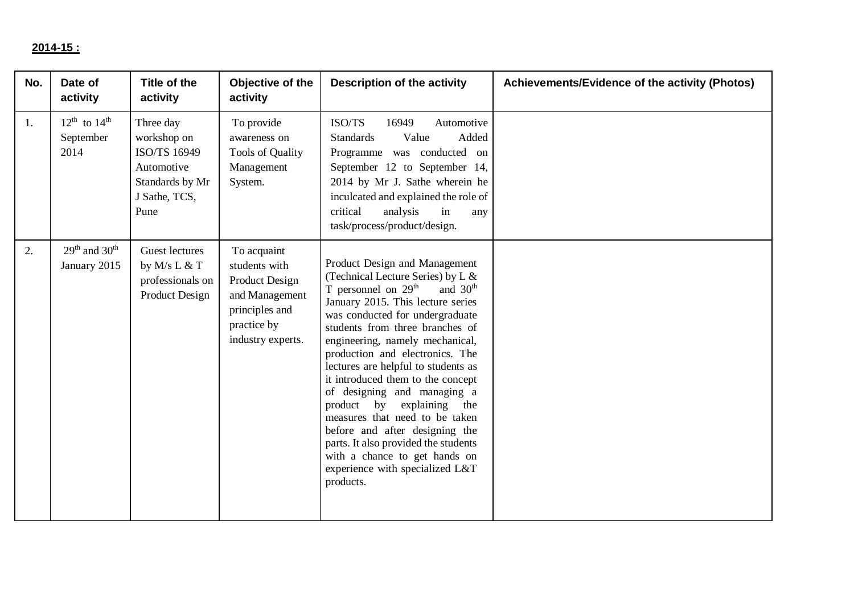#### **2014-15 :**

| No. | Date of<br>activity                         | Title of the<br>activity                                                                           | Objective of the<br>activity                                                                                           | <b>Description of the activity</b>                                                                                                                                                                                                                                                                                                                                                                                                                                                                                                                                                                                                 | Achievements/Evidence of the activity (Photos) |
|-----|---------------------------------------------|----------------------------------------------------------------------------------------------------|------------------------------------------------------------------------------------------------------------------------|------------------------------------------------------------------------------------------------------------------------------------------------------------------------------------------------------------------------------------------------------------------------------------------------------------------------------------------------------------------------------------------------------------------------------------------------------------------------------------------------------------------------------------------------------------------------------------------------------------------------------------|------------------------------------------------|
| 1.  | $12^{th}$ to $14^{th}$<br>September<br>2014 | Three day<br>workshop on<br>ISO/TS 16949<br>Automotive<br>Standards by Mr<br>J Sathe, TCS,<br>Pune | To provide<br>awareness on<br>Tools of Quality<br>Management<br>System.                                                | ISO/TS<br>16949<br>Automotive<br>Value<br>Added<br><b>Standards</b><br>Programme was conducted on<br>September 12 to September 14,<br>2014 by Mr J. Sathe wherein he<br>inculcated and explained the role of<br>analysis<br>critical<br>in<br>any<br>task/process/product/design.                                                                                                                                                                                                                                                                                                                                                  |                                                |
| 2.  | $29th$ and $30th$<br>January 2015           | Guest lectures<br>by $M/s$ L & T<br>professionals on<br>Product Design                             | To acquaint<br>students with<br>Product Design<br>and Management<br>principles and<br>practice by<br>industry experts. | Product Design and Management<br>(Technical Lecture Series) by L &<br>T personnel on $29th$<br>and $30th$<br>January 2015. This lecture series<br>was conducted for undergraduate<br>students from three branches of<br>engineering, namely mechanical,<br>production and electronics. The<br>lectures are helpful to students as<br>it introduced them to the concept<br>of designing and managing a<br>explaining the<br>product by<br>measures that need to be taken<br>before and after designing the<br>parts. It also provided the students<br>with a chance to get hands on<br>experience with specialized L&T<br>products. |                                                |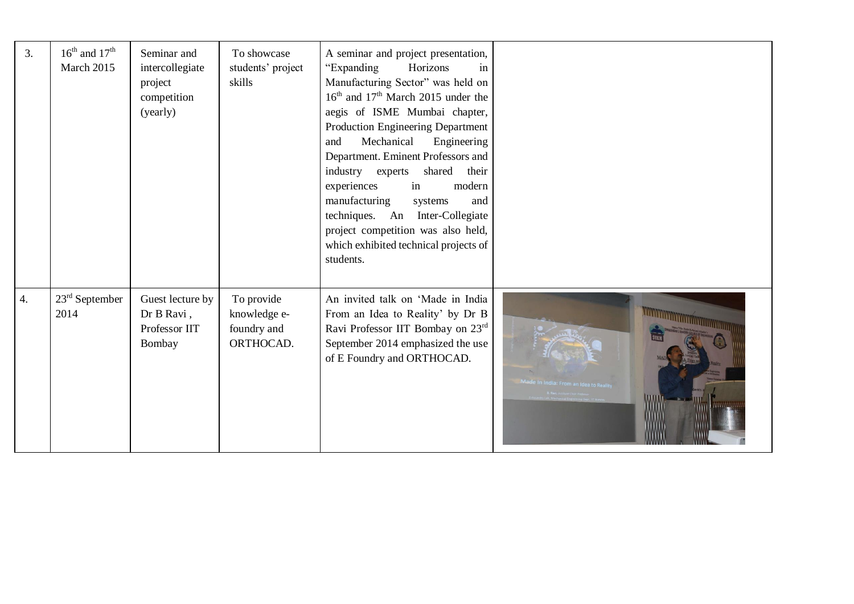| 3.               | $16^{\text{th}}$ and $17^{\text{th}}$<br>March 2015 | Seminar and<br>intercollegiate<br>project<br>competition<br>(yearly) | To showcase<br>students' project<br>skills             | A seminar and project presentation,<br>"Expanding<br>Horizons<br>in<br>Manufacturing Sector" was held on<br>16 <sup>th</sup> and 17 <sup>th</sup> March 2015 under the<br>aegis of ISME Mumbai chapter,<br>Production Engineering Department<br>Mechanical<br>Engineering<br>and<br>Department. Eminent Professors and<br>industry experts<br>shared<br>their<br>experiences<br>in<br>modern<br>manufacturing<br>and<br>systems<br>techniques. An Inter-Collegiate<br>project competition was also held,<br>which exhibited technical projects of<br>students. |                              |
|------------------|-----------------------------------------------------|----------------------------------------------------------------------|--------------------------------------------------------|----------------------------------------------------------------------------------------------------------------------------------------------------------------------------------------------------------------------------------------------------------------------------------------------------------------------------------------------------------------------------------------------------------------------------------------------------------------------------------------------------------------------------------------------------------------|------------------------------|
| $\overline{4}$ . | $23rd$ September<br>2014                            | Guest lecture by<br>Dr B Ravi,<br>Professor IIT<br>Bombay            | To provide<br>knowledge e-<br>foundry and<br>ORTHOCAD. | An invited talk on 'Made in India<br>From an Idea to Reality' by Dr B<br>Ravi Professor IIT Bombay on 23rd<br>September 2014 emphasized the use<br>of E Foundry and ORTHOCAD.                                                                                                                                                                                                                                                                                                                                                                                  | ndia: From an Idea to Realit |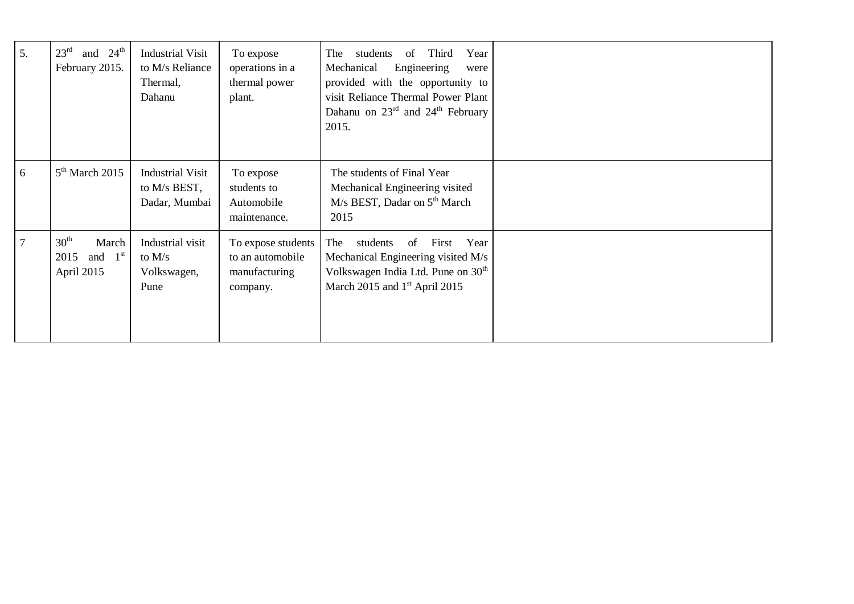| 5. | and $24th$<br>23 <sup>rd</sup><br>February 2015.             | <b>Industrial Visit</b><br>to M/s Reliance<br>Thermal,<br>Dahanu | To expose<br>operations in a<br>thermal power<br>plant.             | Third<br>of<br>Year<br>students<br>The<br>Engineering<br>Mechanical<br>were<br>provided with the opportunity to<br>visit Reliance Thermal Power Plant<br>Dahanu on $23^{\text{rd}}$ and $24^{\text{th}}$ February<br>2015. |  |
|----|--------------------------------------------------------------|------------------------------------------------------------------|---------------------------------------------------------------------|----------------------------------------------------------------------------------------------------------------------------------------------------------------------------------------------------------------------------|--|
| 6  | $5th$ March 2015                                             | <b>Industrial Visit</b><br>to M/s BEST,<br>Dadar, Mumbai         | To expose<br>students to<br>Automobile<br>maintenance.              | The students of Final Year<br>Mechanical Engineering visited<br>M/s BEST, Dadar on 5 <sup>th</sup> March<br>2015                                                                                                           |  |
|    | 30 <sup>th</sup><br>March<br>and $1st$<br>2015<br>April 2015 | Industrial visit<br>to $M/s$<br>Volkswagen,<br>Pune              | To expose students<br>to an automobile<br>manufacturing<br>company. | The<br>First<br>Year<br>students<br>of<br>Mechanical Engineering visited M/s<br>Volkswagen India Ltd. Pune on 30 <sup>th</sup><br>March 2015 and $1st$ April 2015                                                          |  |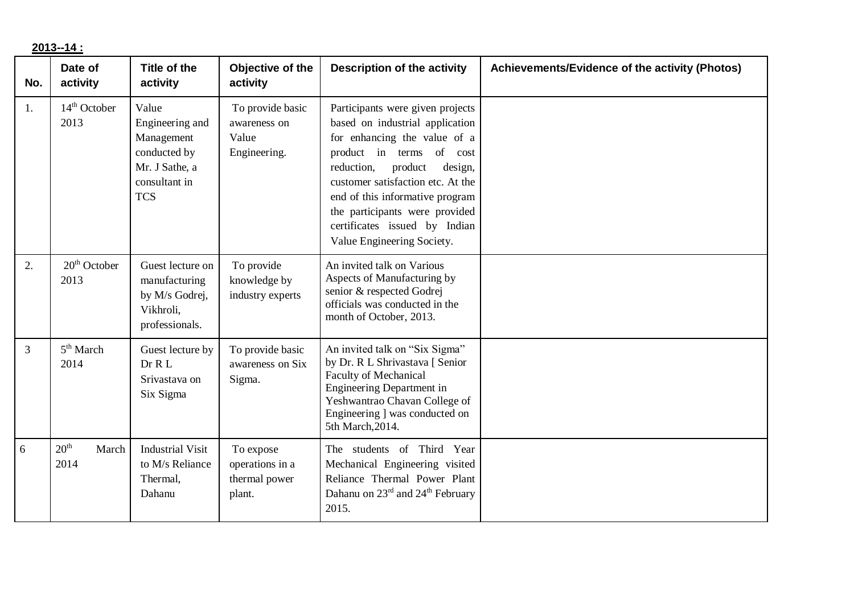**2013--14 :**

| No. | Date of<br>activity               | Title of the<br>activity                                                                                | Objective of the<br>activity                              | <b>Description of the activity</b>                                                                                                                                                                                                                                                                                                           | Achievements/Evidence of the activity (Photos) |
|-----|-----------------------------------|---------------------------------------------------------------------------------------------------------|-----------------------------------------------------------|----------------------------------------------------------------------------------------------------------------------------------------------------------------------------------------------------------------------------------------------------------------------------------------------------------------------------------------------|------------------------------------------------|
| 1.  | $14th$ October<br>2013            | Value<br>Engineering and<br>Management<br>conducted by<br>Mr. J Sathe, a<br>consultant in<br><b>TCS</b> | To provide basic<br>awareness on<br>Value<br>Engineering. | Participants were given projects<br>based on industrial application<br>for enhancing the value of a<br>product in terms of cost<br>reduction,<br>product<br>design,<br>customer satisfaction etc. At the<br>end of this informative program<br>the participants were provided<br>certificates issued by Indian<br>Value Engineering Society. |                                                |
| 2.  | $20th$ October<br>2013            | Guest lecture on<br>manufacturing<br>by M/s Godrej,<br>Vikhroli.<br>professionals.                      | To provide<br>knowledge by<br>industry experts            | An invited talk on Various<br>Aspects of Manufacturing by<br>senior & respected Godrej<br>officials was conducted in the<br>month of October, 2013.                                                                                                                                                                                          |                                                |
| 3   | 5 <sup>th</sup> March<br>2014     | Guest lecture by<br>Dr R L<br>Srivastava on<br>Six Sigma                                                | To provide basic<br>awareness on Six<br>Sigma.            | An invited talk on "Six Sigma"<br>by Dr. R L Shrivastava [ Senior<br><b>Faculty of Mechanical</b><br><b>Engineering Department in</b><br>Yeshwantrao Chavan College of<br>Engineering ] was conducted on<br>5th March, 2014.                                                                                                                 |                                                |
| 6   | 20 <sup>th</sup><br>March<br>2014 | <b>Industrial Visit</b><br>to M/s Reliance<br>Thermal,<br>Dahanu                                        | To expose<br>operations in a<br>thermal power<br>plant.   | The students of Third Year<br>Mechanical Engineering visited<br>Reliance Thermal Power Plant<br>Dahanu on 23 <sup>rd</sup> and 24 <sup>th</sup> February<br>2015.                                                                                                                                                                            |                                                |